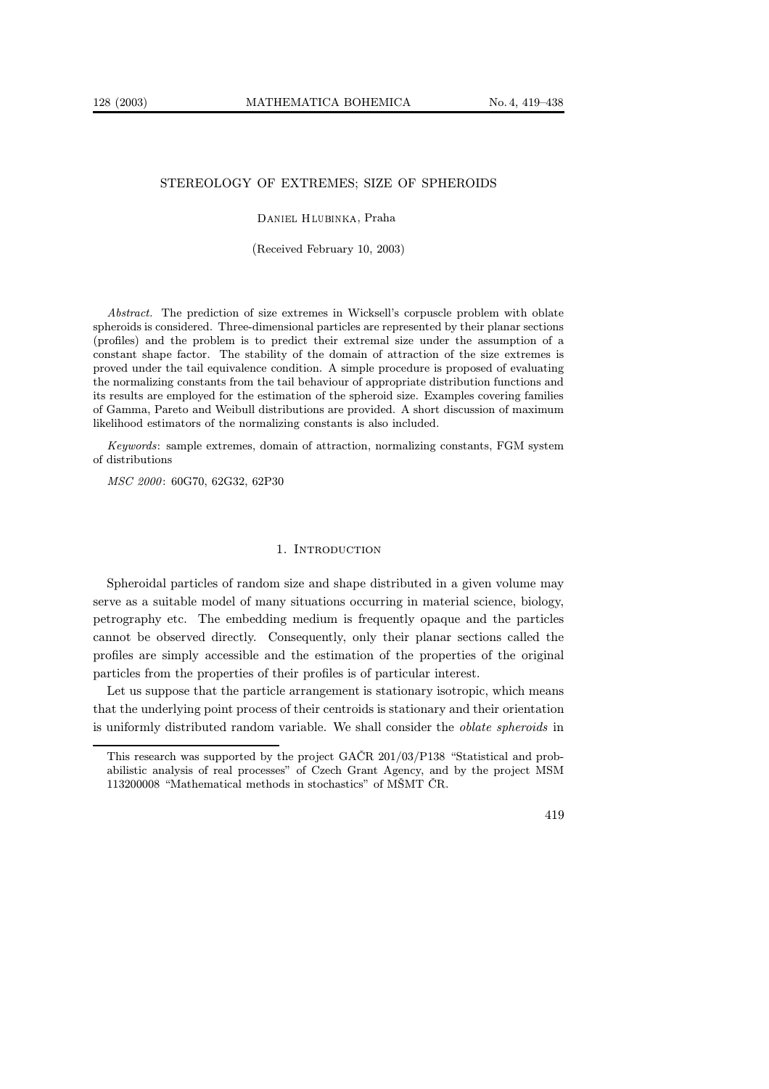# STEREOLOGY OF EXTREMES; SIZE OF SPHEROIDS

#### Daniel Hlubinka, Praha

#### (Received February 10, 2003)

Abstract. The prediction of size extremes in Wicksell's corpuscle problem with oblate spheroids is considered. Three-dimensional particles are represented by their planar sections (profiles) and the problem is to predict their extremal size under the assumption of a constant shape factor. The stability of the domain of attraction of the size extremes is proved under the tail equivalence condition. A simple procedure is proposed of evaluating the normalizing constants from the tail behaviour of appropriate distribution functions and its results are employed for the estimation of the spheroid size. Examples covering families of Gamma, Pareto and Weibull distributions are provided. A short discussion of maximum likelihood estimators of the normalizing constants is also included.

Keywords: sample extremes, domain of attraction, normalizing constants, FGM system of distributions

MSC 2000 : 60G70, 62G32, 62P30

## 1. INTRODUCTION

Spheroidal particles of random size and shape distributed in a given volume may serve as a suitable model of many situations occurring in material science, biology, petrography etc. The embedding medium is frequently opaque and the particles cannot be observed directly. Consequently, only their planar sections called the profiles are simply accessible and the estimation of the properties of the original particles from the properties of their profiles is of particular interest.

Let us suppose that the particle arrangement is stationary isotropic, which means that the underlying point process of their centroids is stationary and their orientation is uniformly distributed random variable. We shall consider the oblate spheroids in

This research was supported by the project GAČR 201/03/P138 "Statistical and probabilistic analysis of real processes" of Czech Grant Agency, and by the project MSM 113200008 "Mathematical methods in stochastics" of MŠMT ČR.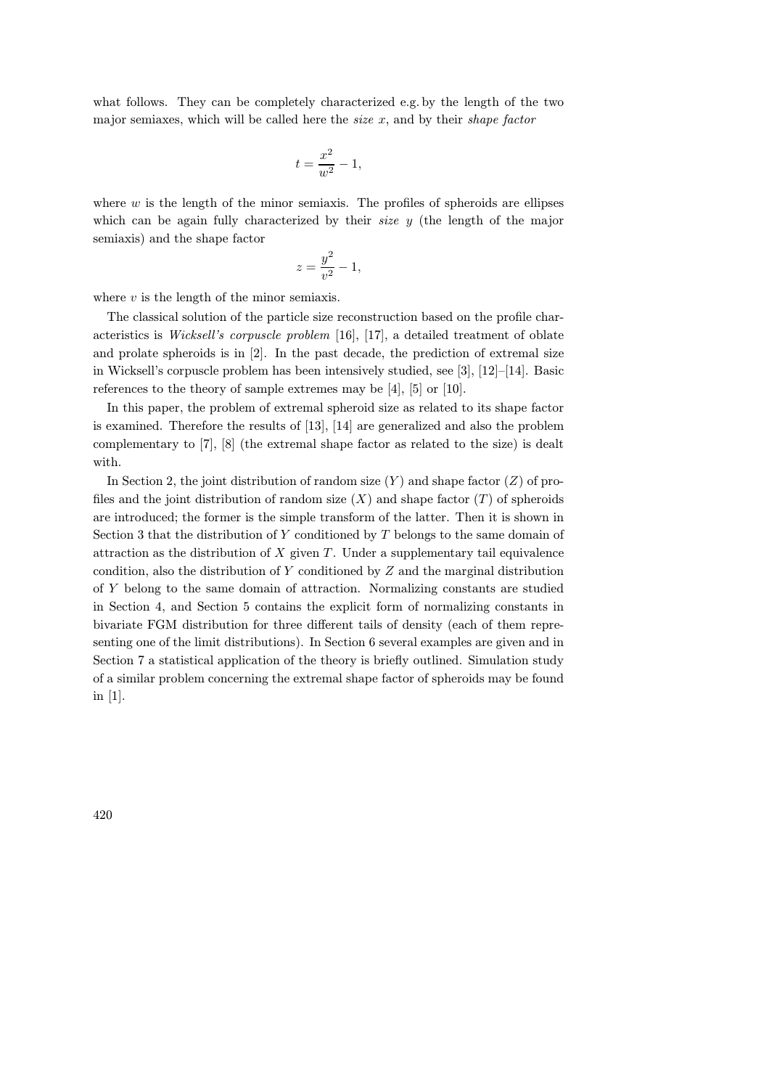what follows. They can be completely characterized e.g. by the length of the two major semiaxes, which will be called here the *size*  $x$ , and by their *shape factor* 

$$
t = \frac{x^2}{w^2} - 1,
$$

where  $w$  is the length of the minor semiaxis. The profiles of spheroids are ellipses which can be again fully characterized by their *size*  $y$  (the length of the major semiaxis) and the shape factor

$$
z = \frac{y^2}{v^2} - 1,
$$

where  $v$  is the length of the minor semiaxis.

The classical solution of the particle size reconstruction based on the profile characteristics is Wicksell's corpuscle problem [16], [17], a detailed treatment of oblate and prolate spheroids is in [2]. In the past decade, the prediction of extremal size in Wicksell's corpuscle problem has been intensively studied, see [3], [12]–[14]. Basic references to the theory of sample extremes may be [4], [5] or [10].

In this paper, the problem of extremal spheroid size as related to its shape factor is examined. Therefore the results of [13], [14] are generalized and also the problem complementary to [7], [8] (the extremal shape factor as related to the size) is dealt with.

In Section 2, the joint distribution of random size  $(Y)$  and shape factor  $(Z)$  of profiles and the joint distribution of random size  $(X)$  and shape factor  $(T)$  of spheroids are introduced; the former is the simple transform of the latter. Then it is shown in Section 3 that the distribution of  $Y$  conditioned by  $T$  belongs to the same domain of attraction as the distribution of  $X$  given  $T$ . Under a supplementary tail equivalence condition, also the distribution of Y conditioned by Z and the marginal distribution of Y belong to the same domain of attraction. Normalizing constants are studied in Section 4, and Section 5 contains the explicit form of normalizing constants in bivariate FGM distribution for three different tails of density (each of them representing one of the limit distributions). In Section 6 several examples are given and in Section 7 a statistical application of the theory is briefly outlined. Simulation study of a similar problem concerning the extremal shape factor of spheroids may be found in [1].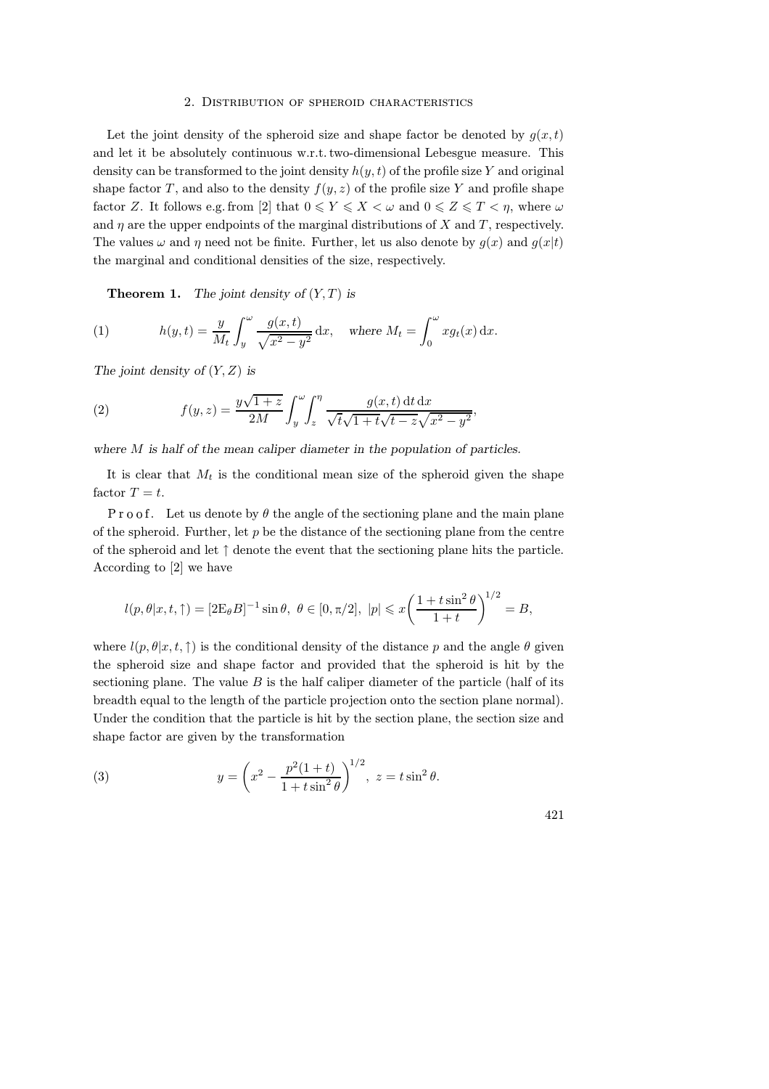### 2. Distribution of spheroid characteristics

Let the joint density of the spheroid size and shape factor be denoted by  $g(x,t)$ and let it be absolutely continuous w.r.t.two-dimensional Lebesgue measure. This density can be transformed to the joint density  $h(y, t)$  of the profile size Y and original shape factor T, and also to the density  $f(y, z)$  of the profile size Y and profile shape factor Z. It follows e.g. from [2] that  $0 \leq Y \leq X \leq \omega$  and  $0 \leq Z \leq T \leq \eta$ , where  $\omega$ and  $\eta$  are the upper endpoints of the marginal distributions of X and T, respectively. The values  $\omega$  and  $\eta$  need not be finite. Further, let us also denote by  $q(x)$  and  $q(x|t)$ the marginal and conditional densities of the size, respectively.

**Theorem 1.** The joint density of  $(Y, T)$  is

(1) 
$$
h(y,t) = \frac{y}{M_t} \int_y^{\omega} \frac{g(x,t)}{\sqrt{x^2 - y^2}} dx, \text{ where } M_t = \int_0^{\omega} x g_t(x) dx.
$$

The joint density of  $(Y, Z)$  is

(2) 
$$
f(y, z) = \frac{y\sqrt{1+z}}{2M} \int_{y}^{\omega} \int_{z}^{\eta} \frac{g(x, t) dt dx}{\sqrt{t}\sqrt{1+t}\sqrt{t-z}\sqrt{x^2-y^2}}
$$

where M is half of the mean caliper diameter in the population of particles.

It is clear that  $M_t$  is the conditional mean size of the spheroid given the shape factor  $T = t$ .

Pro of. Let us denote by  $\theta$  the angle of the sectioning plane and the main plane of the spheroid. Further, let  $p$  be the distance of the sectioning plane from the centre of the spheroid and let ↑ denote the event that the sectioning plane hits the particle. According to [2] we have

$$
l(p, \theta | x, t, \uparrow) = [2E_{\theta}B]^{-1} \sin \theta, \ \theta \in [0, \pi/2], \ |p| \leq x \left( \frac{1 + t \sin^2 \theta}{1 + t} \right)^{1/2} = B,
$$

where  $l(p, \theta | x, t, \uparrow)$  is the conditional density of the distance p and the angle  $\theta$  given the spheroid size and shape factor and provided that the spheroid is hit by the sectioning plane. The value  $B$  is the half caliper diameter of the particle (half of its breadth equal to the length of the particle projection onto the section plane normal). Under the condition that the particle is hit by the section plane, the section size and shape factor are given by the transformation

(3) 
$$
y = \left(x^2 - \frac{p^2(1+t)}{1+t\sin^2\theta}\right)^{1/2}, \ z = t\sin^2\theta.
$$

421

,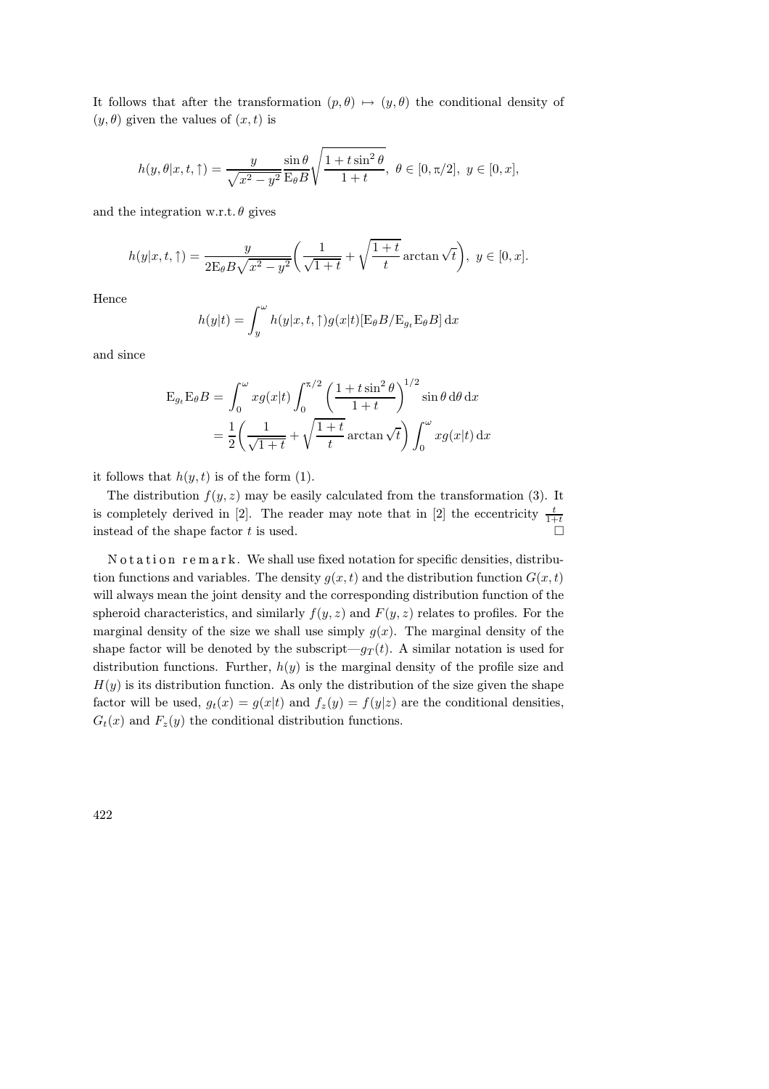It follows that after the transformation  $(p, \theta) \mapsto (y, \theta)$  the conditional density of  $(y, \theta)$  given the values of  $(x, t)$  is

$$
h(y, \theta | x, t, \uparrow) = \frac{y}{\sqrt{x^2 - y^2}} \frac{\sin \theta}{\mathrm{E}_{\theta} B} \sqrt{\frac{1 + t \sin^2 \theta}{1 + t}}, \ \theta \in [0, \pi/2], \ y \in [0, x],
$$

and the integration w.r.t.  $\theta$  gives

$$
h(y|x,t,\uparrow)=\frac{y}{2\mathrm{E}_{\theta}B\sqrt{x^2-y^2}}\bigg(\frac{1}{\sqrt{1+t}}+\sqrt{\frac{1+t}{t}}\arctan\sqrt{t}\bigg),\ y\in[0,x].
$$

Hence

$$
h(y|t) = \int_{y}^{\omega} h(y|x, t, \uparrow) g(x|t) [\mathbf{E}_{\theta} B / \mathbf{E}_{g_t} \mathbf{E}_{\theta} B] dx
$$

and since

$$
\mathcal{E}_{g_t} \mathcal{E}_{\theta} B = \int_0^{\omega} x g(x|t) \int_0^{\pi/2} \left( \frac{1 + t \sin^2 \theta}{1 + t} \right)^{1/2} \sin \theta \, d\theta \, dx
$$

$$
= \frac{1}{2} \left( \frac{1}{\sqrt{1 + t}} + \sqrt{\frac{1 + t}{t}} \arctan \sqrt{t} \right) \int_0^{\omega} x g(x|t) \, dx
$$

it follows that  $h(y, t)$  is of the form (1).

The distribution  $f(y, z)$  may be easily calculated from the transformation (3). It is completely derived in [2]. The reader may note that in [2] the eccentricity  $\frac{t}{1+t}$ instead of the shape factor  $t$  is used.

N otation remark. We shall use fixed notation for specific densities, distribution functions and variables. The density  $g(x,t)$  and the distribution function  $G(x,t)$ will always mean the joint density and the corresponding distribution function of the spheroid characteristics, and similarly  $f(y, z)$  and  $F(y, z)$  relates to profiles. For the marginal density of the size we shall use simply  $g(x)$ . The marginal density of the shape factor will be denoted by the subscript— $q_T(t)$ . A similar notation is used for distribution functions. Further,  $h(y)$  is the marginal density of the profile size and  $H(y)$  is its distribution function. As only the distribution of the size given the shape factor will be used,  $g_t(x) = g(x|t)$  and  $f_z(y) = f(y|z)$  are the conditional densities,  $G_t(x)$  and  $F_z(y)$  the conditional distribution functions.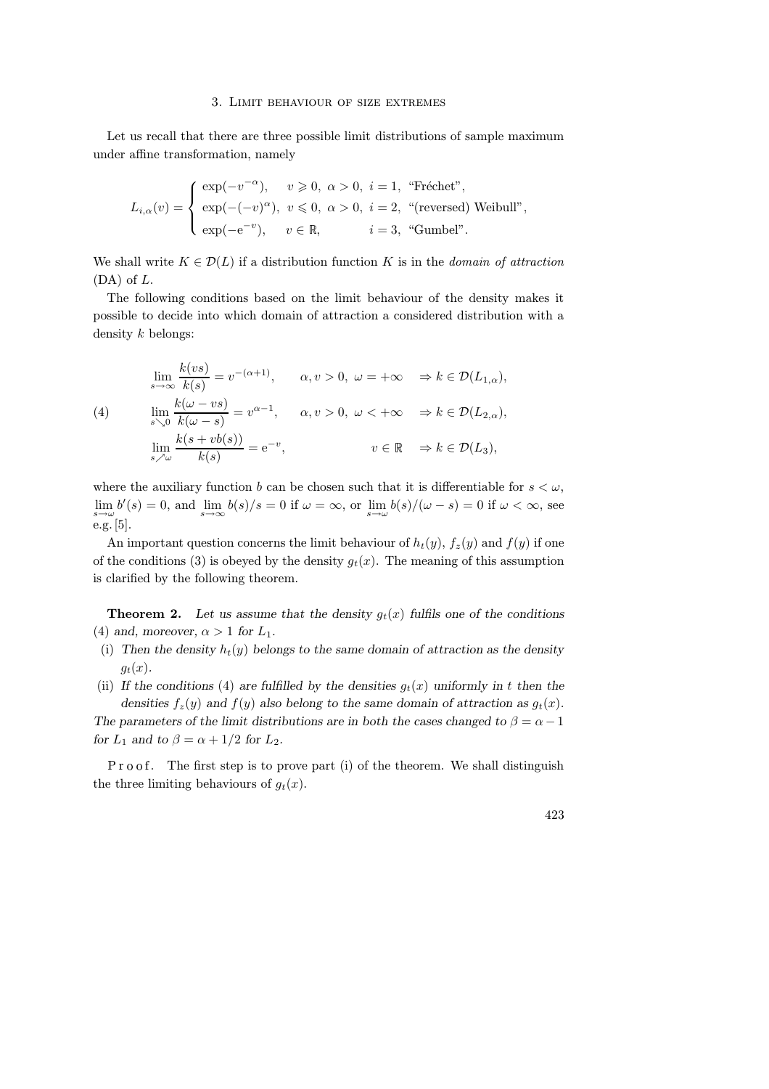#### 3. Limit behaviour of size extremes

Let us recall that there are three possible limit distributions of sample maximum under affine transformation, namely

$$
L_{i,\alpha}(v) = \begin{cases} \exp(-v^{-\alpha}), & v \ge 0, \ \alpha > 0, \ i = 1, \ \text{``Fréchet''}, \\ \exp(-(-v)^{\alpha}), & v \le 0, \ \alpha > 0, \ i = 2, \ \text{``(reversed)} \text{ Weibull''}, \\ \exp(-e^{-v}), & v \in \mathbb{R}, \qquad i = 3, \ \text{``Gumbel''}. \end{cases}
$$

We shall write  $K \in \mathcal{D}(L)$  if a distribution function K is in the *domain of attraction*  $(DA)$  of  $L$ .

The following conditions based on the limit behaviour of the density makes it possible to decide into which domain of attraction a considered distribution with a density k belongs:

(4)  
\n
$$
\lim_{s \to \infty} \frac{k(vs)}{k(s)} = v^{-(\alpha+1)}, \qquad \alpha, v > 0, \ \omega = +\infty \quad \Rightarrow k \in \mathcal{D}(L_{1,\alpha}),
$$
\n
$$
\lim_{s \searrow 0} \frac{k(\omega - vs)}{k(\omega - s)} = v^{\alpha - 1}, \qquad \alpha, v > 0, \ \omega < +\infty \quad \Rightarrow k \in \mathcal{D}(L_{2,\alpha}),
$$
\n
$$
\lim_{s \nearrow \omega} \frac{k(s + vb(s))}{k(s)} = e^{-v}, \qquad v \in \mathbb{R} \quad \Rightarrow k \in \mathcal{D}(L_3),
$$

where the auxiliary function b can be chosen such that it is differentiable for  $s < \omega$ ,  $\lim_{s\to\omega}b'(s)=0$ , and  $\lim_{s\to\infty}b(s)/s=0$  if  $\omega=\infty$ , or  $\lim_{s\to\omega}b(s)/(\omega-s)=0$  if  $\omega<\infty$ , see e.g. [5].

An important question concerns the limit behaviour of  $h_t(y)$ ,  $f_z(y)$  and  $f(y)$  if one of the conditions (3) is obeyed by the density  $g_t(x)$ . The meaning of this assumption is clarified by the following theorem.

**Theorem 2.** Let us assume that the density  $g_t(x)$  fulfils one of the conditions (4) and, moreover,  $\alpha > 1$  for  $L_1$ .

- (i) Then the density  $h_t(y)$  belongs to the same domain of attraction as the density  $g_t(x)$ .
- (ii) If the conditions (4) are fulfilled by the densities  $g_t(x)$  uniformly in t then the densities  $f_z(y)$  and  $f(y)$  also belong to the same domain of attraction as  $g_t(x)$ .

The parameters of the limit distributions are in both the cases changed to  $\beta = \alpha - 1$ for  $L_1$  and to  $\beta = \alpha + 1/2$  for  $L_2$ .

. The first step is to prove part (i) of the theorem. We shall distinguish the three limiting behaviours of  $g_t(x)$ .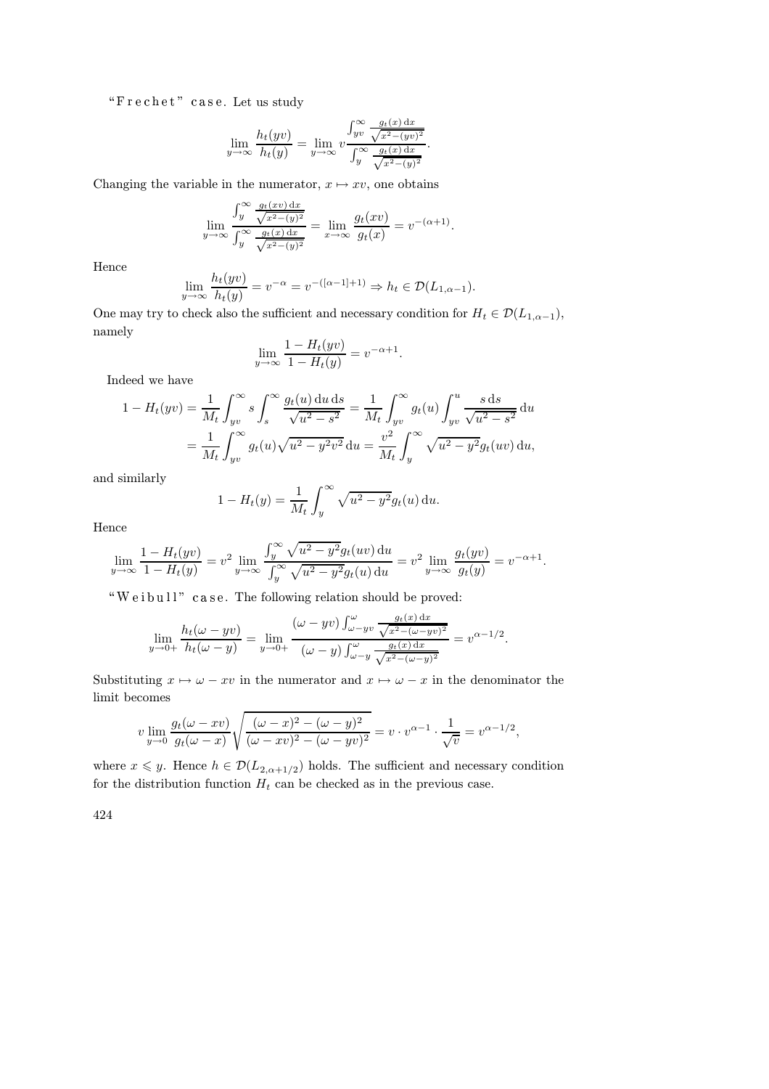"Frechet" case. Let us study

$$
\lim_{y \to \infty} \frac{h_t(yv)}{h_t(y)} = \lim_{y \to \infty} v \frac{\int_{yv}^{\infty} \frac{g_t(x) dx}{\sqrt{x^2 - (yv)^2}}}{\int_{y}^{\infty} \frac{g_t(x) dx}{\sqrt{x^2 - (y)^2}}}.
$$

Changing the variable in the numerator,  $x \mapsto xv$ , one obtains

$$
\lim_{y \to \infty} \frac{\int_y^{\infty} \frac{g_t(xv) dx}{\sqrt{x^2 - (y)^2}}}{\int_y^{\infty} \frac{g_t(x) dx}{\sqrt{x^2 - (y)^2}}} = \lim_{x \to \infty} \frac{g_t(xv)}{g_t(x)} = v^{-(\alpha+1)}.
$$

Hence

$$
\lim_{y \to \infty} \frac{h_t(yv)}{h_t(y)} = v^{-\alpha} = v^{-([\alpha - 1] + 1)} \Rightarrow h_t \in \mathcal{D}(L_{1, \alpha - 1}).
$$

One may try to check also the sufficient and necessary condition for  $H_t \in \mathcal{D}(L_{1,\alpha-1}),$ namely

$$
\lim_{y \to \infty} \frac{1 - H_t(yv)}{1 - H_t(y)} = v^{-\alpha + 1}.
$$

Indeed we have

$$
1 - H_t(yv) = \frac{1}{M_t} \int_{yv}^{\infty} s \int_s^{\infty} \frac{g_t(u) \, du \, ds}{\sqrt{u^2 - s^2}} = \frac{1}{M_t} \int_{yv}^{\infty} g_t(u) \int_{yv}^u \frac{s \, ds}{\sqrt{u^2 - s^2}} \, du
$$

$$
= \frac{1}{M_t} \int_{yv}^{\infty} g_t(u) \sqrt{u^2 - y^2 v^2} \, du = \frac{v^2}{M_t} \int_{y}^{\infty} \sqrt{u^2 - y^2} g_t(uv) \, du,
$$

and similarly

$$
1 - H_t(y) = \frac{1}{M_t} \int_y^{\infty} \sqrt{u^2 - y^2} g_t(u) \, \mathrm{d}u.
$$

Hence

$$
\lim_{y \to \infty} \frac{1 - H_t(yv)}{1 - H_t(y)} = v^2 \lim_{y \to \infty} \frac{\int_y^{\infty} \sqrt{u^2 - y^2} g_t(uv) \, du}{\int_y^{\infty} \sqrt{u^2 - y^2} g_t(u) \, du} = v^2 \lim_{y \to \infty} \frac{g_t(yv)}{g_t(y)} = v^{-\alpha + 1}.
$$

 $W$ eibull" case. The following relation should be proved:

$$
\lim_{y \to 0+} \frac{h_t(\omega - yv)}{h_t(\omega - y)} = \lim_{y \to 0+} \frac{(\omega - yv) \int_{\omega - yv}^{\omega} \frac{g_t(x) dx}{\sqrt{x^2 - (\omega - yv)^2}}}{(\omega - y) \int_{\omega - y}^{\omega} \frac{g_t(x) dx}{\sqrt{x^2 - (\omega - y)^2}}} = v^{\alpha - 1/2}.
$$

Substituting  $x \mapsto \omega - xv$  in the numerator and  $x \mapsto \omega - x$  in the denominator the limit becomes

$$
v \lim_{y \to 0} \frac{g_t(\omega - xv)}{g_t(\omega - x)} \sqrt{\frac{(\omega - x)^2 - (\omega - y)^2}{(\omega - xv)^2 - (\omega - y)^2}} = v \cdot v^{\alpha - 1} \cdot \frac{1}{\sqrt{v}} = v^{\alpha - 1/2},
$$

where  $x \leq y$ . Hence  $h \in \mathcal{D}(L_{2,\alpha+1/2})$  holds. The sufficient and necessary condition for the distribution function  $H_t$  can be checked as in the previous case.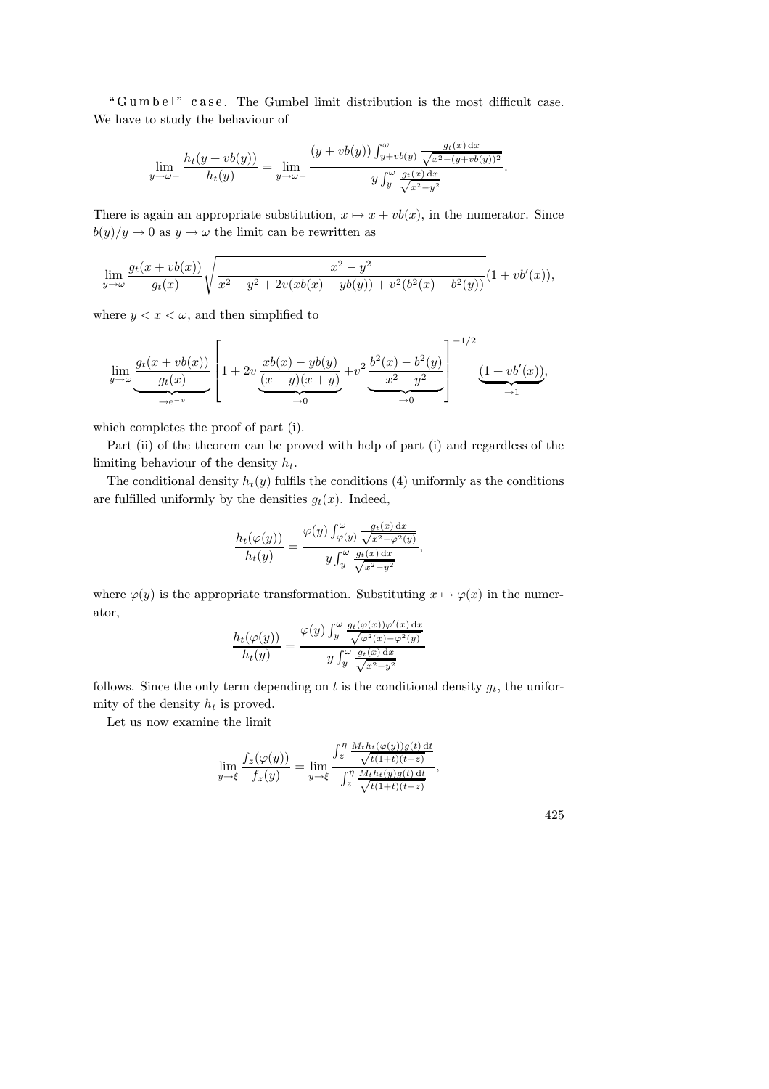"Gumbel" case. The Gumbel limit distribution is the most difficult case. We have to study the behaviour of

$$
\lim_{y \to \omega-} \frac{h_t(y + vb(y))}{h_t(y)} = \lim_{y \to \omega-} \frac{\left(y + vb(y)\right) \int_{y+vb(y)}^{\omega} \frac{g_t(x) dx}{\sqrt{x^2 - (y+vb(y))^2}}}{y \int_{y}^{\omega} \frac{g_t(x) dx}{\sqrt{x^2 - y^2}}}.
$$

There is again an appropriate substitution,  $x \mapsto x + v b(x)$ , in the numerator. Since  $b(y)/y \to 0$  as  $y \to \omega$  the limit can be rewritten as

$$
\lim_{y \to \omega} \frac{g_t(x + vb(x))}{g_t(x)} \sqrt{\frac{x^2 - y^2}{x^2 - y^2 + 2v(xb(x) - yb(y)) + v^2(b^2(x) - b^2(y))}} (1 + vb'(x)),
$$

where  $y < x < \omega$ , and then simplified to

$$
\lim_{y \to \omega} \underbrace{\frac{g_t(x + vb(x))}{g_t(x)}}_{\to e^{-v}} \left[ 1 + 2v \underbrace{\frac{xb(x) - yb(y)}{(x - y)(x + y)}}_{\to 0} + v^2 \underbrace{\frac{b^2(x) - b^2(y)}{x^2 - y^2}}_{\to 0} \right]^{-1/2} \underbrace{(1 + vb'(x))}_{\to 1},
$$

which completes the proof of part (i).

Part (ii) of the theorem can be proved with help of part (i) and regardless of the limiting behaviour of the density  $h_t$ .

The conditional density  $h_t(y)$  fulfils the conditions (4) uniformly as the conditions are fulfilled uniformly by the densities  $g_t(x)$ . Indeed,

$$
\frac{h_t(\varphi(y))}{h_t(y)} = \frac{\varphi(y) \int_{\varphi(y)}^{\omega} \frac{g_t(x) dx}{\sqrt{x^2 - \varphi^2(y)}}}{y \int_{y}^{\omega} \frac{g_t(x) dx}{\sqrt{x^2 - y^2}}},
$$

where  $\varphi(y)$  is the appropriate transformation. Substituting  $x \mapsto \varphi(x)$  in the numerator,

$$
\frac{h_t(\varphi(y))}{h_t(y)} = \frac{\varphi(y) \int_y^{\omega} \frac{g_t(\varphi(x))\varphi'(x) dx}{\sqrt{\varphi^2(x) - \varphi^2(y)}}}{y \int_y^{\omega} \frac{g_t(x) dx}{\sqrt{x^2 - y^2}}}
$$

follows. Since the only term depending on t is the conditional density  $g_t$ , the uniformity of the density  $h_t$  is proved.

Let us now examine the limit

$$
\lim_{y \to \xi} \frac{f_z(\varphi(y))}{f_z(y)} = \lim_{y \to \xi} \frac{\int_z^{\eta} \frac{M_t h_t(\varphi(y))g(t) dt}{\sqrt{t(1+t)(t-z)}}}{\int_z^{\eta} \frac{M_t h_t(y)g(t) dt}{\sqrt{t(1+t)(t-z)}}},
$$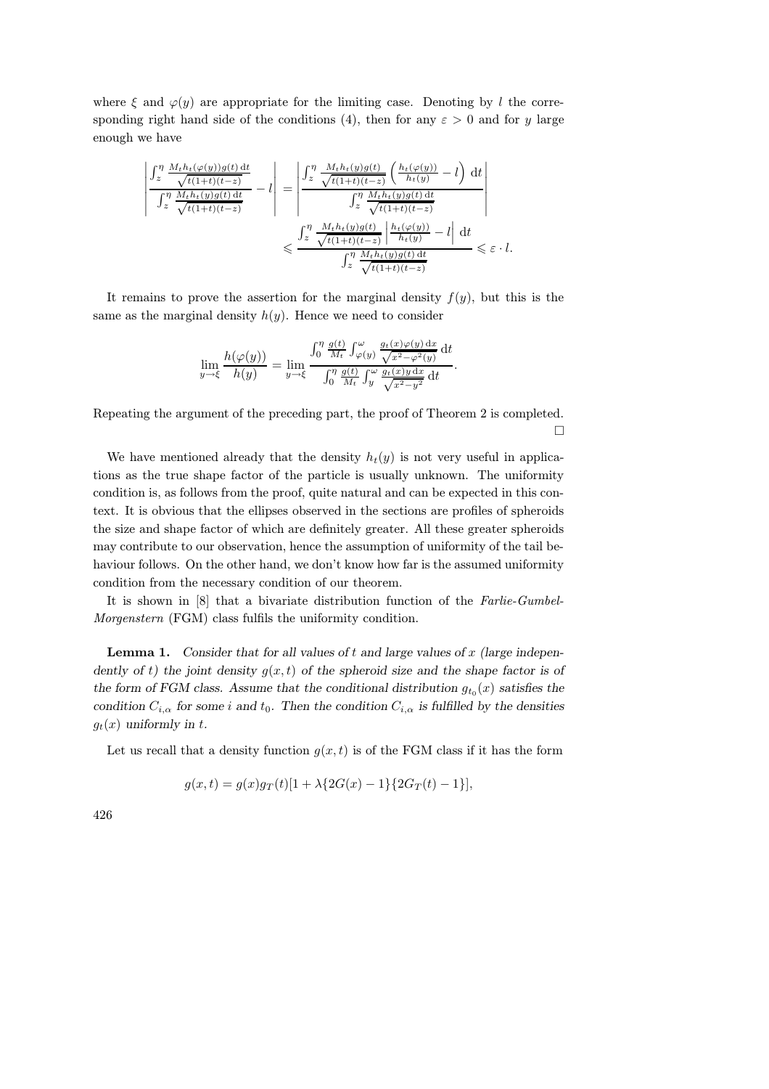where  $\xi$  and  $\varphi(y)$  are appropriate for the limiting case. Denoting by l the corresponding right hand side of the conditions (4), then for any  $\varepsilon > 0$  and for y large enough we have

$$
\begin{aligned}\n\left| \frac{\int_{z}^{\eta} \frac{M_{t}h_{t}(\varphi(y))g(t) dt}{\sqrt{t(1+t)(t-z)}}}{\int_{z}^{\eta} \frac{M_{t}h_{t}(y)g(t) dt}{\sqrt{t(1+t)(t-z)}}} - l \right| &= \left| \frac{\int_{z}^{\eta} \frac{M_{t}h_{t}(y)g(t)}{\sqrt{t(1+t)(t-z)}} \left( \frac{h_{t}(\varphi(y))}{h_{t}(y)} - l \right) dt}{\int_{z}^{\eta} \frac{M_{t}h_{t}(y)g(t) dt}{\sqrt{t(1+t)(t-z)}}} \right| \\
&\leq \frac{\int_{z}^{\eta} \frac{M_{t}h_{t}(y)g(t)}{\sqrt{t(1+t)(t-z)}} \left| \frac{h_{t}(\varphi(y))}{h_{t}(y)} - l \right| dt}{\int_{z}^{\eta} \frac{M_{t}h_{t}(y)g(t) dt}{\sqrt{t(1+t)(t-z)}}} \leq \varepsilon \cdot l.\n\end{aligned}
$$

It remains to prove the assertion for the marginal density  $f(y)$ , but this is the same as the marginal density  $h(y)$ . Hence we need to consider

$$
\lim_{y \to \xi} \frac{h(\varphi(y))}{h(y)} = \lim_{y \to \xi} \frac{\int_0^{\eta} \frac{g(t)}{M_t} \int_{\varphi(y)}^{\omega} \frac{g_t(x)\varphi(y) dx}{\sqrt{x^2 - \varphi^2(y)}} dt}{\int_0^{\eta} \frac{g(t)}{M_t} \int_y^{\omega} \frac{g_t(x)y dx}{\sqrt{x^2 - y^2}} dt}.
$$

Repeating the argument of the preceding part, the proof of Theorem 2 is completed.  $\Box$ 

We have mentioned already that the density  $h_t(y)$  is not very useful in applications as the true shape factor of the particle is usually unknown. The uniformity condition is, as follows from the proof, quite natural and can be expected in this context. It is obvious that the ellipses observed in the sections are profiles of spheroids the size and shape factor of which are definitely greater. All these greater spheroids may contribute to our observation, hence the assumption of uniformity of the tail behaviour follows. On the other hand, we don't know how far is the assumed uniformity condition from the necessary condition of our theorem.

It is shown in [8] that a bivariate distribution function of the Farlie-Gumbel-Morgenstern (FGM) class fulfils the uniformity condition.

**Lemma 1.** Consider that for all values of t and large values of x (large independently of t) the joint density  $g(x,t)$  of the spheroid size and the shape factor is of the form of FGM class. Assume that the conditional distribution  $g_{t_0}(x)$  satisfies the condition  $C_{i,\alpha}$  for some i and  $t_0$ . Then the condition  $C_{i,\alpha}$  is fulfilled by the densities  $g_t(x)$  uniformly in t.

Let us recall that a density function  $g(x,t)$  is of the FGM class if it has the form

$$
g(x,t) = g(x)g_T(t)[1 + \lambda \{2G(x) - 1\}\{2G_T(t) - 1\}],
$$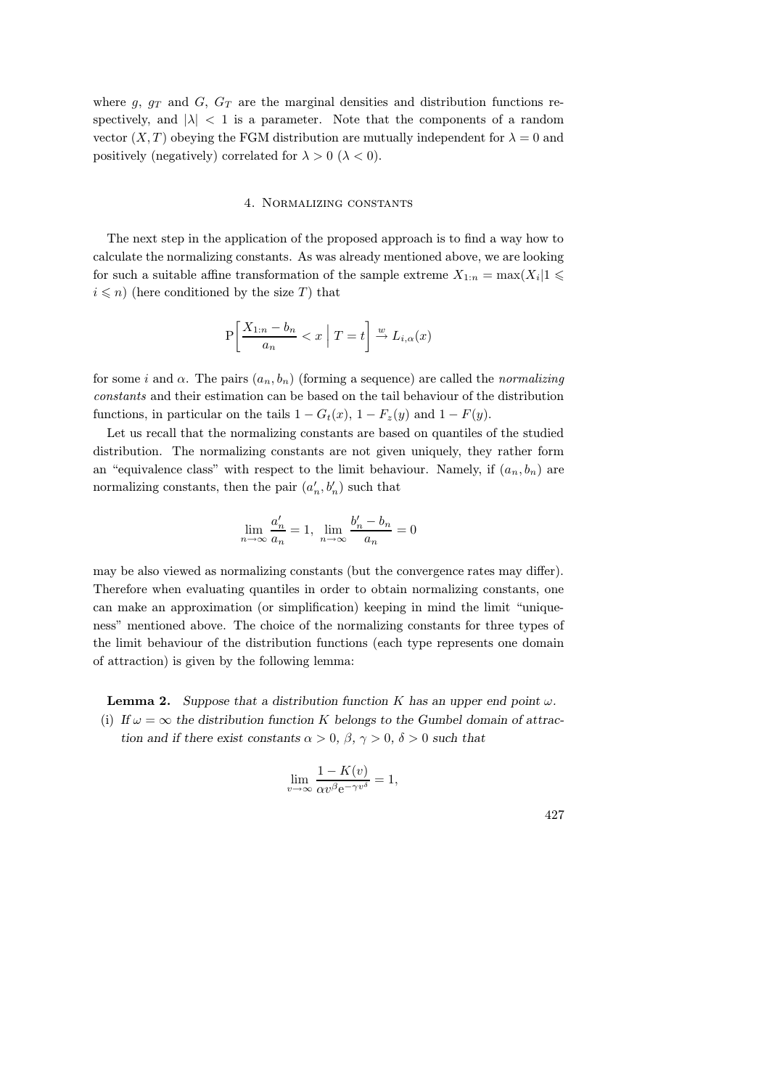where g,  $g_T$  and G,  $G_T$  are the marginal densities and distribution functions respectively, and  $|\lambda|$  < 1 is a parameter. Note that the components of a random vector  $(X, T)$  obeying the FGM distribution are mutually independent for  $\lambda = 0$  and positively (negatively) correlated for  $\lambda > 0$  ( $\lambda < 0$ ).

### 4. Normalizing constants

The next step in the application of the proposed approach is to find a way how to calculate the normalizing constants. As was already mentioned above, we are looking for such a suitable affine transformation of the sample extreme  $X_{1:n} = \max(X_i | 1 \leq$  $i \leq n$ ) (here conditioned by the size T) that

$$
\mathbf{P}\left[\frac{X_{1:n}-b_n}{a_n} < x \mid T = t\right] \xrightarrow{w} L_{i,\alpha}(x)
$$

for some i and  $\alpha$ . The pairs  $(a_n, b_n)$  (forming a sequence) are called the normalizing constants and their estimation can be based on the tail behaviour of the distribution functions, in particular on the tails  $1 - G_t(x)$ ,  $1 - F_z(y)$  and  $1 - F(y)$ .

Let us recall that the normalizing constants are based on quantiles of the studied distribution. The normalizing constants are not given uniquely, they rather form an "equivalence class" with respect to the limit behaviour. Namely, if  $(a_n, b_n)$  are normalizing constants, then the pair  $(a'_n, b'_n)$  such that

$$
\lim_{n \to \infty} \frac{a'_n}{a_n} = 1, \ \lim_{n \to \infty} \frac{b'_n - b_n}{a_n} = 0
$$

may be also viewed as normalizing constants (but the convergence rates may differ). Therefore when evaluating quantiles in order to obtain normalizing constants, one can make an approximation (or simplification) keeping in mind the limit "uniqueness" mentioned above. The choice of the normalizing constants for three types of the limit behaviour of the distribution functions (each type represents one domain of attraction) is given by the following lemma:

**Lemma 2.** Suppose that a distribution function K has an upper end point  $\omega$ .

(i) If  $\omega = \infty$  the distribution function K belongs to the Gumbel domain of attraction and if there exist constants  $\alpha > 0$ ,  $\beta$ ,  $\gamma > 0$ ,  $\delta > 0$  such that

$$
\lim_{v \to \infty} \frac{1 - K(v)}{\alpha v^{\beta} e^{-\gamma v^{\delta}}} = 1,
$$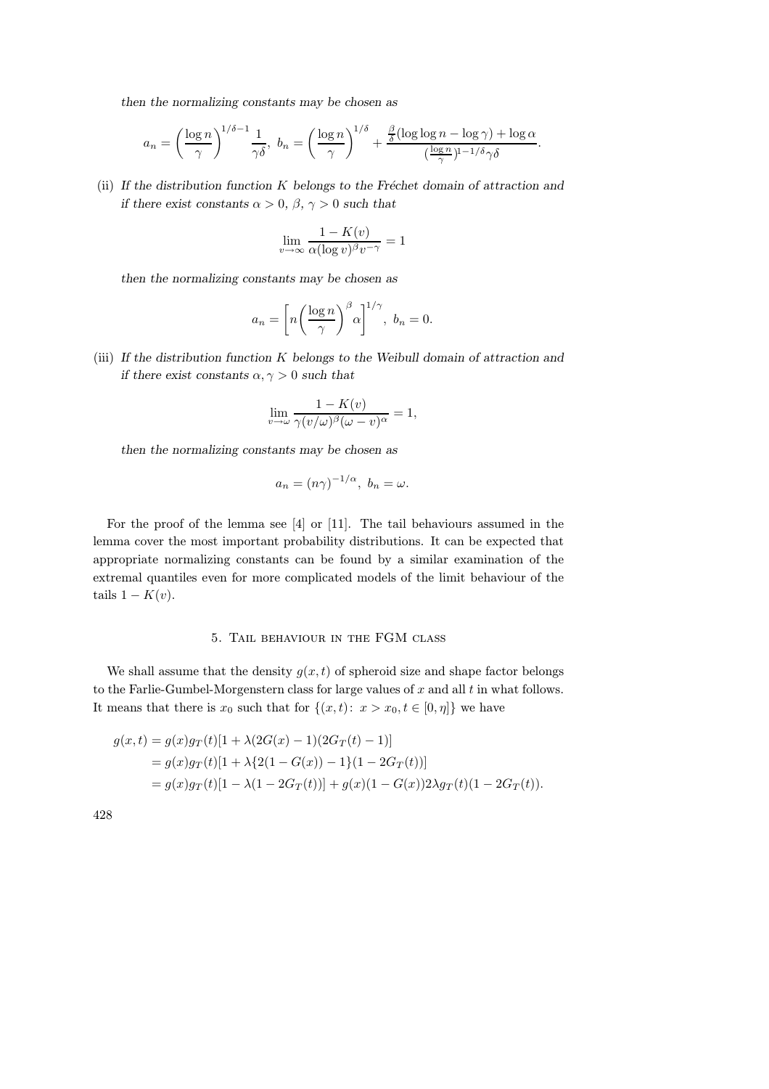then the normalizing constants may be chosen as

$$
a_n = \left(\frac{\log n}{\gamma}\right)^{1/\delta - 1} \frac{1}{\gamma \delta}, \ b_n = \left(\frac{\log n}{\gamma}\right)^{1/\delta} + \frac{\frac{\beta}{\delta}(\log \log n - \log \gamma) + \log \alpha}{\left(\frac{\log n}{\gamma}\right)^{1 - 1/\delta} \gamma \delta}.
$$

(ii) If the distribution function K belongs to the Fréchet domain of attraction and if there exist constants  $\alpha > 0$ ,  $\beta$ ,  $\gamma > 0$  such that

$$
\lim_{v \to \infty} \frac{1 - K(v)}{\alpha (\log v)^{\beta} v^{-\gamma}} = 1
$$

then the normalizing constants may be chosen as

$$
a_n = \left[ n \left( \frac{\log n}{\gamma} \right)^{\beta} \alpha \right]^{1/\gamma}, \ b_n = 0.
$$

(iii) If the distribution function K belongs to the Weibull domain of attraction and if there exist constants  $\alpha, \gamma > 0$  such that

$$
\lim_{v \to \omega} \frac{1 - K(v)}{\gamma(v/\omega)^{\beta}(\omega - v)^{\alpha}} = 1,
$$

then the normalizing constants may be chosen as

$$
a_n = (n\gamma)^{-1/\alpha}, \ b_n = \omega.
$$

For the proof of the lemma see [4] or [11]. The tail behaviours assumed in the lemma cover the most important probability distributions. It can be expected that appropriate normalizing constants can be found by a similar examination of the extremal quantiles even for more complicated models of the limit behaviour of the tails  $1 - K(v)$ .

### 5. Tail behaviour in the FGM class

We shall assume that the density  $g(x,t)$  of spheroid size and shape factor belongs to the Farlie-Gumbel-Morgenstern class for large values of x and all t in what follows. It means that there is  $x_0$  such that for  $\{(x,t): x > x_0, t \in [0, \eta]\}$  we have

$$
g(x,t) = g(x)g_T(t)[1 + \lambda(2G(x) - 1)(2G_T(t) - 1)]
$$
  
=  $g(x)g_T(t)[1 + \lambda{2(1 - G(x)) - 1}(1 - 2G_T(t))]$   
=  $g(x)g_T(t)[1 - \lambda(1 - 2G_T(t))] + g(x)(1 - G(x))2\lambda g_T(t)(1 - 2G_T(t)).$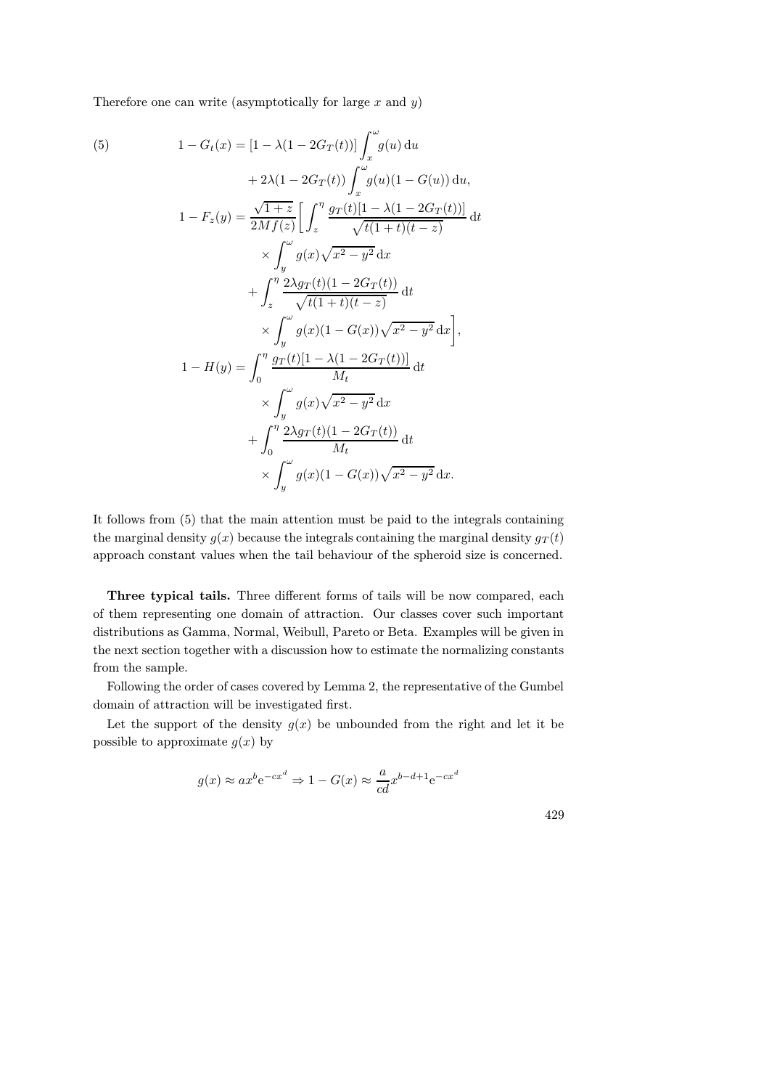Therefore one can write (asymptotically for large  $x$  and  $y$ )

(5) 
$$
1 - G_t(x) = [1 - \lambda(1 - 2G_T(t))] \int_x^{\omega} g(u) du + 2\lambda(1 - 2G_T(t)) \int_x^{\omega} g(u) (1 - G(u)) du, 1 - F_z(y) = \frac{\sqrt{1+z}}{2Mf(z)} \left[ \int_z^{\eta} \frac{gr(t)[1 - \lambda(1 - 2G_T(t))] }{\sqrt{t(1+t)(t-z)}} dt + \int_y^{\eta} \frac{2\lambda gr(t)(1 - 2G_T(t))}{\sqrt{t(1+t)(t-z)}} dt + \int_z^{\eta} \frac{2\lambda gr(t)(1 - 2G_T(t))}{\sqrt{t(1+t)(t-z)}} dt \times \int_y^{\omega} g(x)(1 - G(x)) \sqrt{x^2 - y^2} dx, 1 - H(y) = \int_0^{\eta} \frac{gr(t)[1 - \lambda(1 - 2G_T(t))] }{M_t} dt \times \int_y^{\omega} g(x) \sqrt{x^2 - y^2} dx + \int_0^{\eta} \frac{2\lambda gr(t)(1 - 2G_T(t))}{M_t} dt \times \int_y^{\omega} g(x)(1 - G(x)) \sqrt{x^2 - y^2} dx.
$$

It follows from (5) that the main attention must be paid to the integrals containing the marginal density  $g(x)$  because the integrals containing the marginal density  $g_T(t)$ approach constant values when the tail behaviour of the spheroid size is concerned.

Three typical tails. Three different forms of tails will be now compared, each of them representing one domain of attraction. Our classes cover such important distributions as Gamma, Normal, Weibull, Pareto or Beta. Examples will be given in the next section together with a discussion how to estimate the normalizing constants from the sample.

Following the order of cases covered by Lemma 2, the representative of the Gumbel domain of attraction will be investigated first.

Let the support of the density  $g(x)$  be unbounded from the right and let it be possible to approximate  $g(x)$  by

$$
g(x) \approx ax^b e^{-cx^d} \Rightarrow 1 - G(x) \approx \frac{a}{cd} x^{b-d+1} e^{-cx^d}
$$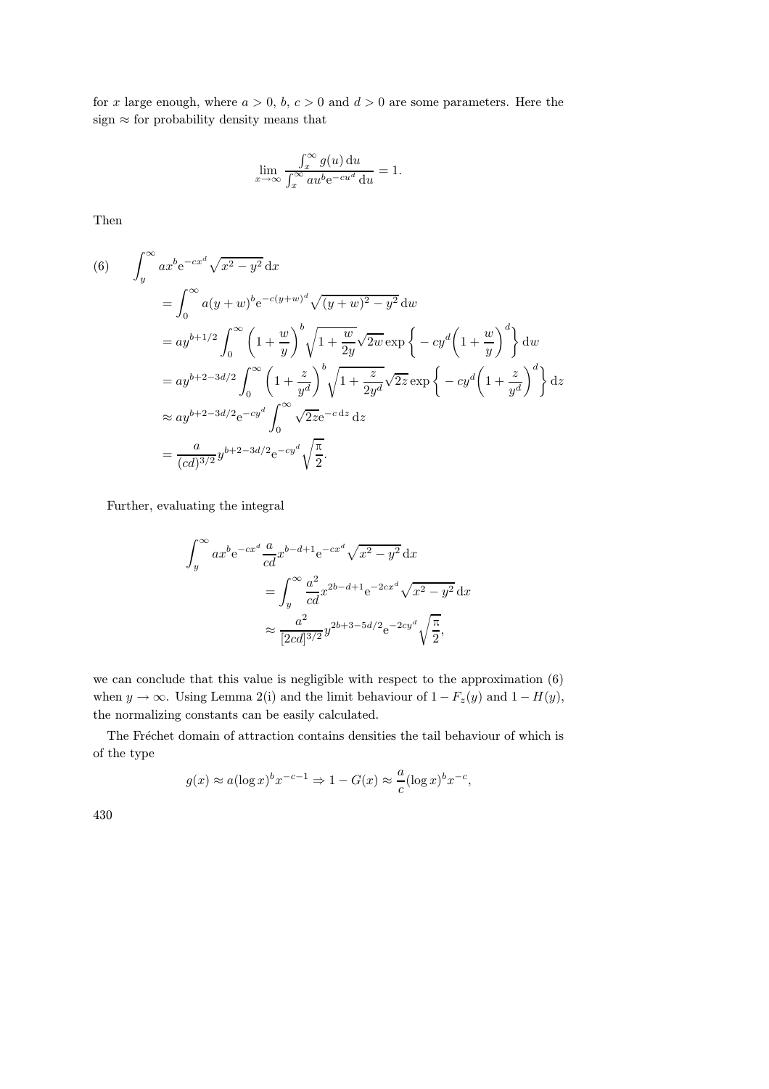for x large enough, where  $a > 0$ ,  $b, c > 0$  and  $d > 0$  are some parameters. Here the sign $\approx$  for probability density means that

$$
\lim_{x \to \infty} \frac{\int_x^{\infty} g(u) \, \mathrm{d}u}{\int_x^{\infty} a u^b e^{-cu^d} \, \mathrm{d}u} = 1.
$$

Then

(6) 
$$
\int_{y}^{\infty} ax^{b}e^{-cx^{d}} \sqrt{x^{2}-y^{2}} dx
$$
  
\n
$$
= \int_{0}^{\infty} a(y+w)^{b}e^{-c(y+w)^{d}} \sqrt{(y+w)^{2}-y^{2}} dw
$$
  
\n
$$
= ay^{b+1/2} \int_{0}^{\infty} \left(1+\frac{w}{y}\right)^{b} \sqrt{1+\frac{w}{2y}} \sqrt{2w} \exp\left\{-cy^{d}\left(1+\frac{w}{y}\right)^{d}\right\} dw
$$
  
\n
$$
= ay^{b+2-3d/2} \int_{0}^{\infty} \left(1+\frac{z}{y^{d}}\right)^{b} \sqrt{1+\frac{z}{2y^{d}}} \sqrt{2z} \exp\left\{-cy^{d}\left(1+\frac{z}{y^{d}}\right)^{d}\right\} dz
$$
  
\n
$$
\approx ay^{b+2-3d/2}e^{-cy^{d}} \int_{0}^{\infty} \sqrt{2z}e^{-cdz} dz
$$
  
\n
$$
= \frac{a}{(cd)^{3/2}} y^{b+2-3d/2}e^{-cy^{d}} \sqrt{\frac{\pi}{2}}.
$$

Further, evaluating the integral

$$
\int_{y}^{\infty} ax^{b} e^{-cx^{d}} \frac{a}{cd} x^{b-d+1} e^{-cx^{d}} \sqrt{x^{2} - y^{2}} dx
$$
  
= 
$$
\int_{y}^{\infty} \frac{a^{2}}{cd} x^{2b-d+1} e^{-2cx^{d}} \sqrt{x^{2} - y^{2}} dx
$$
  

$$
\approx \frac{a^{2}}{[2cd]^{3/2}} y^{2b+3-5d/2} e^{-2cy^{d}} \sqrt{\frac{\pi}{2}},
$$

we can conclude that this value is negligible with respect to the approximation (6) when  $y \to \infty$ . Using Lemma 2(i) and the limit behaviour of  $1 - F_z(y)$  and  $1 - H(y)$ , the normalizing constants can be easily calculated.

The Fréchet domain of attraction contains densities the tail behaviour of which is of the type

$$
g(x) \approx a(\log x)^b x^{-c-1} \Rightarrow 1 - G(x) \approx \frac{a}{c}(\log x)^b x^{-c},
$$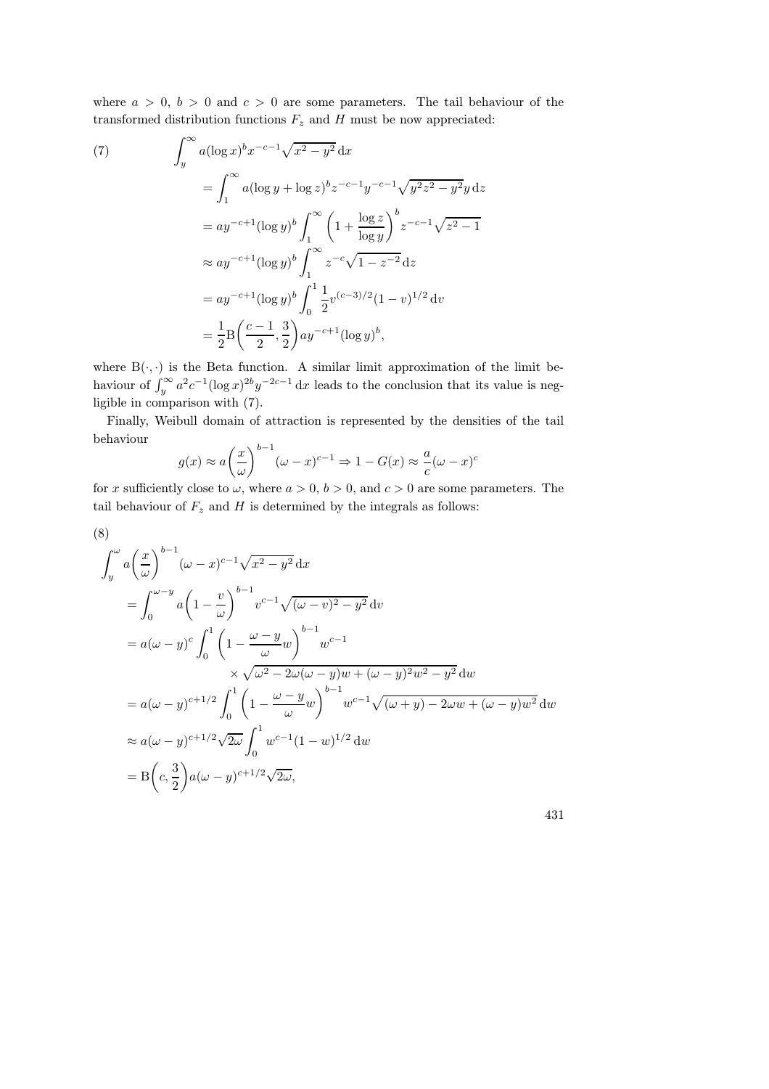where  $a > 0$ ,  $b > 0$  and  $c > 0$  are some parameters. The tail behaviour of the transformed distribution functions  $F_z$  and H must be now appreciated:

(7)  
\n
$$
\int_{y}^{\infty} a(\log x)^{b} x^{-c-1} \sqrt{x^{2} - y^{2}} dx
$$
\n
$$
= \int_{1}^{\infty} a(\log y + \log z)^{b} z^{-c-1} y^{-c-1} \sqrt{y^{2} z^{2} - y^{2}} y dz
$$
\n
$$
= ay^{-c+1} (\log y)^{b} \int_{1}^{\infty} \left(1 + \frac{\log z}{\log y}\right)^{b} z^{-c-1} \sqrt{z^{2} - 1}
$$
\n
$$
\approx ay^{-c+1} (\log y)^{b} \int_{1}^{\infty} z^{-c} \sqrt{1 - z^{-2}} dz
$$
\n
$$
= ay^{-c+1} (\log y)^{b} \int_{0}^{1} \frac{1}{2} v^{(c-3)/2} (1 - v)^{1/2} dv
$$
\n
$$
= \frac{1}{2} B \left(\frac{c-1}{2}, \frac{3}{2}\right) ay^{-c+1} (\log y)^{b},
$$

where  $B(\cdot, \cdot)$  is the Beta function. A similar limit approximation of the limit behaviour of  $\int_y^{\infty} a^2 c^{-1} (\log x)^{2b} y^{-2c-1} dx$  leads to the conclusion that its value is negligible in comparison with (7).

Finally, Weibull domain of attraction is represented by the densities of the tail behaviour

$$
g(x) \approx a \left(\frac{x}{\omega}\right)^{b-1} (\omega - x)^{c-1} \Rightarrow 1 - G(x) \approx \frac{a}{c} (\omega - x)^c
$$

for x sufficiently close to  $\omega$ , where  $a > 0$ ,  $b > 0$ , and  $c > 0$  are some parameters. The tail behaviour of  $F_z$  and  $H$  is determined by the integrals as follows:

$$
(8)
$$

$$
\int_{y}^{\omega} a \left(\frac{x}{\omega}\right)^{b-1} (\omega - x)^{c-1} \sqrt{x^2 - y^2} dx
$$
  
\n
$$
= \int_{0}^{\omega - y} a \left(1 - \frac{v}{\omega}\right)^{b-1} v^{c-1} \sqrt{(\omega - v)^2 - y^2} dv
$$
  
\n
$$
= a(\omega - y)^c \int_{0}^{1} \left(1 - \frac{\omega - y}{\omega} w\right)^{b-1} w^{c-1}
$$
  
\n
$$
\times \sqrt{\omega^2 - 2\omega(\omega - y)w + (\omega - y)^2 w^2 - y^2} dw
$$
  
\n
$$
= a(\omega - y)^{c+1/2} \int_{0}^{1} \left(1 - \frac{\omega - y}{\omega} w\right)^{b-1} w^{c-1} \sqrt{(\omega + y) - 2\omega w + (\omega - y)w^2} dw
$$
  
\n
$$
\approx a(\omega - y)^{c+1/2} \sqrt{2\omega} \int_{0}^{1} w^{c-1} (1 - w)^{1/2} dw
$$
  
\n
$$
= B\left(c, \frac{3}{2}\right) a(\omega - y)^{c+1/2} \sqrt{2\omega},
$$

| I             |  |
|---------------|--|
| ٦<br>M.<br>۰. |  |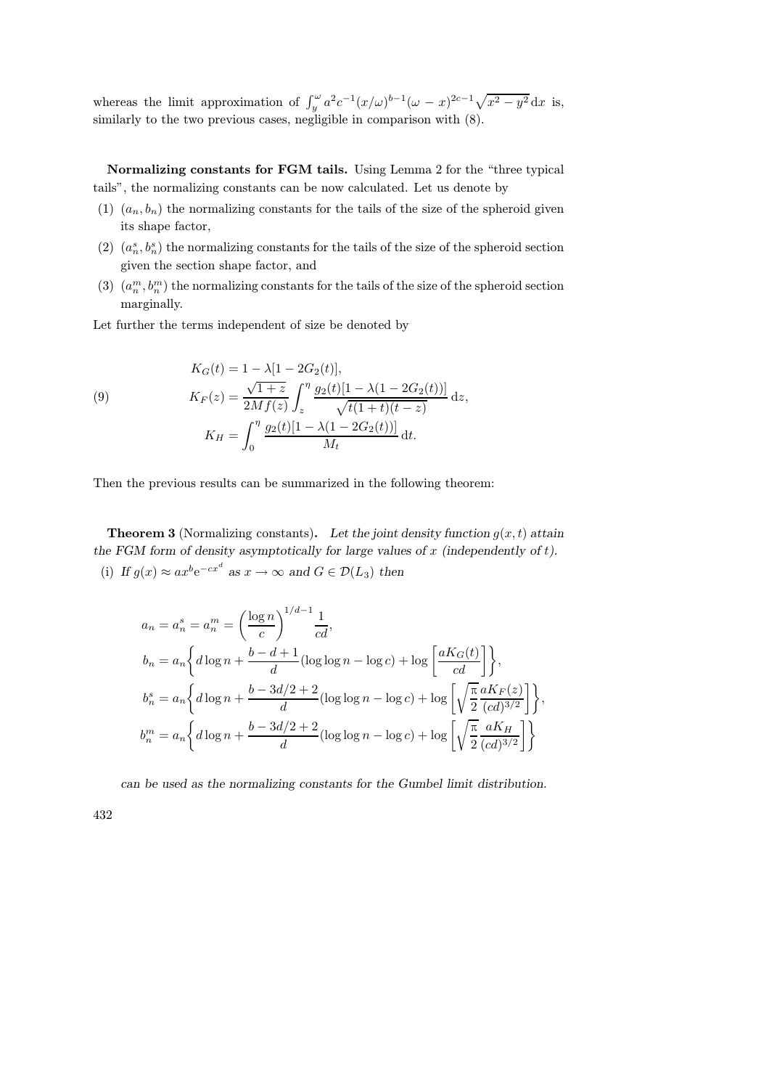whereas the limit approximation of  $\int_y^{\omega} a^2 c^{-1} (x/\omega)^{b-1} (\omega - x)^{2c-1} \sqrt{x^2 - y^2} dx$  is, similarly to the two previous cases, negligible in comparison with (8).

Normalizing constants for FGM tails. Using Lemma 2 for the "three typical tails", the normalizing constants can be now calculated. Let us denote by

- (1)  $(a_n, b_n)$  the normalizing constants for the tails of the size of the spheroid given its shape factor,
- (2)  $(a_n^s, b_n^s)$  the normalizing constants for the tails of the size of the spheroid section given the section shape factor, and
- (3)  $(a_n^m, b_n^m)$  the normalizing constants for the tails of the size of the spheroid section marginally.

Let further the terms independent of size be denoted by

(9) 
$$
K_G(t) = 1 - \lambda [1 - 2G_2(t)],
$$

$$
K_F(z) = \frac{\sqrt{1+z}}{2Mf(z)} \int_z^{\eta} \frac{g_2(t)[1 - \lambda(1 - 2G_2(t))] }{\sqrt{t(1+t)(t-z)}} dz,
$$

$$
K_H = \int_0^{\eta} \frac{g_2(t)[1 - \lambda(1 - 2G_2(t))] }{M_t} dt.
$$

Then the previous results can be summarized in the following theorem:

**Theorem 3** (Normalizing constants). Let the joint density function  $g(x,t)$  attain the FGM form of density asymptotically for large values of  $x$  (independently of  $t$ ). (i) If  $g(x) \approx ax^b e^{-cx^d}$  as  $x \to \infty$  and  $G \in \mathcal{D}(L_3)$  then

$$
a_n = a_n^s = a_n^m = \left(\frac{\log n}{c}\right)^{1/d - 1} \frac{1}{cd},
$$
  
\n
$$
b_n = a_n \left\{ d \log n + \frac{b - d + 1}{d} (\log \log n - \log c) + \log \left[ \frac{aK_G(t)}{cd} \right] \right\},
$$
  
\n
$$
b_n^s = a_n \left\{ d \log n + \frac{b - 3d/2 + 2}{d} (\log \log n - \log c) + \log \left[ \sqrt{\frac{\pi}{2}} \frac{aK_F(z)}{(cd)^{3/2}} \right] \right\},
$$
  
\n
$$
b_n^m = a_n \left\{ d \log n + \frac{b - 3d/2 + 2}{d} (\log \log n - \log c) + \log \left[ \sqrt{\frac{\pi}{2}} \frac{aK_H}{(cd)^{3/2}} \right] \right\}
$$

can be used as the normalizing constants for the Gumbel limit distribution.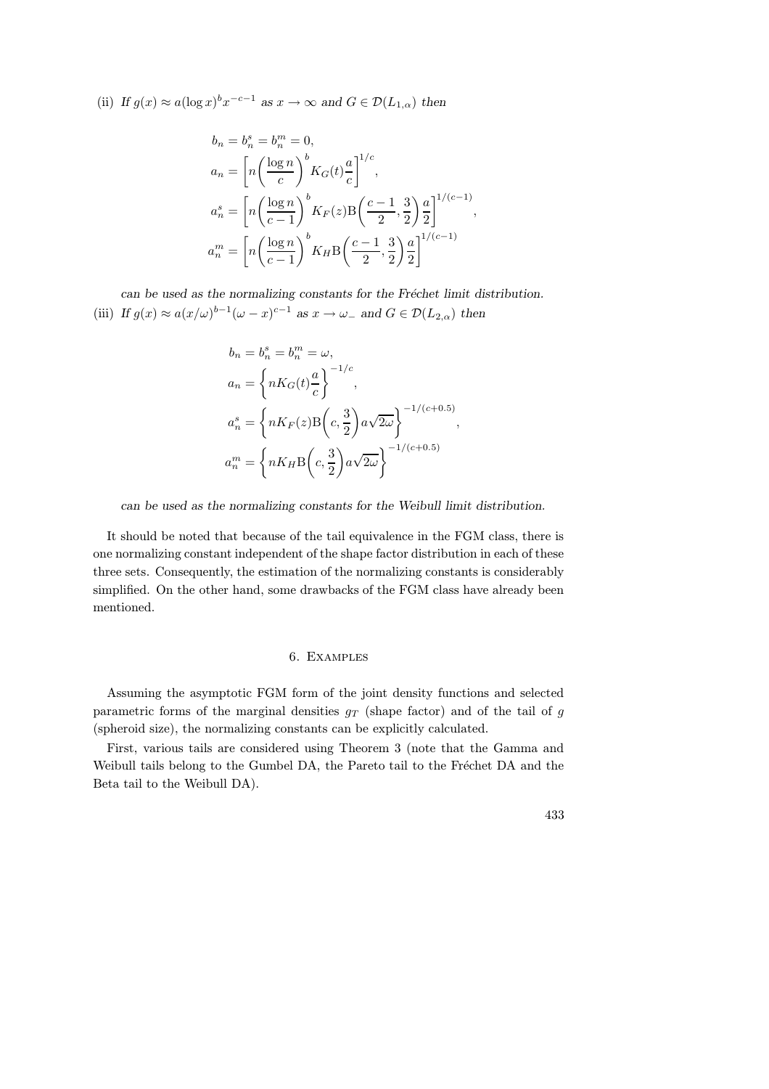(ii) If  $g(x) \approx a(\log x)^b x^{-c-1}$  as  $x \to \infty$  and  $G \in \mathcal{D}(L_{1,\alpha})$  then

$$
b_n = b_n^s = b_n^m = 0,
$$
  
\n
$$
a_n = \left[ n \left( \frac{\log n}{c} \right)^b K_G(t) \frac{a}{c} \right]^{1/c},
$$
  
\n
$$
a_n^s = \left[ n \left( \frac{\log n}{c - 1} \right)^b K_F(z) B \left( \frac{c - 1}{2}, \frac{3}{2} \right) \frac{a}{2} \right]^{1/(c-1)},
$$
  
\n
$$
a_n^m = \left[ n \left( \frac{\log n}{c - 1} \right)^b K_H B \left( \frac{c - 1}{2}, \frac{3}{2} \right) \frac{a}{2} \right]^{1/(c-1)}
$$

can be used as the normalizing constants for the Fréchet limit distribution. (iii) If  $g(x) \approx a(x/\omega)^{b-1}(\omega - x)^{c-1}$  as  $x \to \omega_-$  and  $G \in \mathcal{D}(L_{2,\alpha})$  then

$$
b_n = b_n^s = b_n^m = \omega,
$$
  
\n
$$
a_n = \left\{ nK_G(t) \frac{a}{c} \right\}^{-1/c},
$$
  
\n
$$
a_n^s = \left\{ nK_F(z)B\left(c, \frac{3}{2}\right)a\sqrt{2\omega} \right\}^{-1/(c+0.5)},
$$
  
\n
$$
a_n^m = \left\{ nK_HB\left(c, \frac{3}{2}\right)a\sqrt{2\omega} \right\}^{-1/(c+0.5)}
$$

can be used as the normalizing constants for the Weibull limit distribution.

It should be noted that because of the tail equivalence in the FGM class, there is one normalizing constant independent of the shape factor distribution in each of these three sets. Consequently, the estimation of the normalizing constants is considerably simplified. On the other hand, some drawbacks of the FGM class have already been mentioned.

# 6. Examples

Assuming the asymptotic FGM form of the joint density functions and selected parametric forms of the marginal densities  $g_T$  (shape factor) and of the tail of g (spheroid size), the normalizing constants can be explicitly calculated.

First, various tails are considered using Theorem 3 (note that the Gamma and Weibull tails belong to the Gumbel DA, the Pareto tail to the Fréchet DA and the Beta tail to the Weibull DA).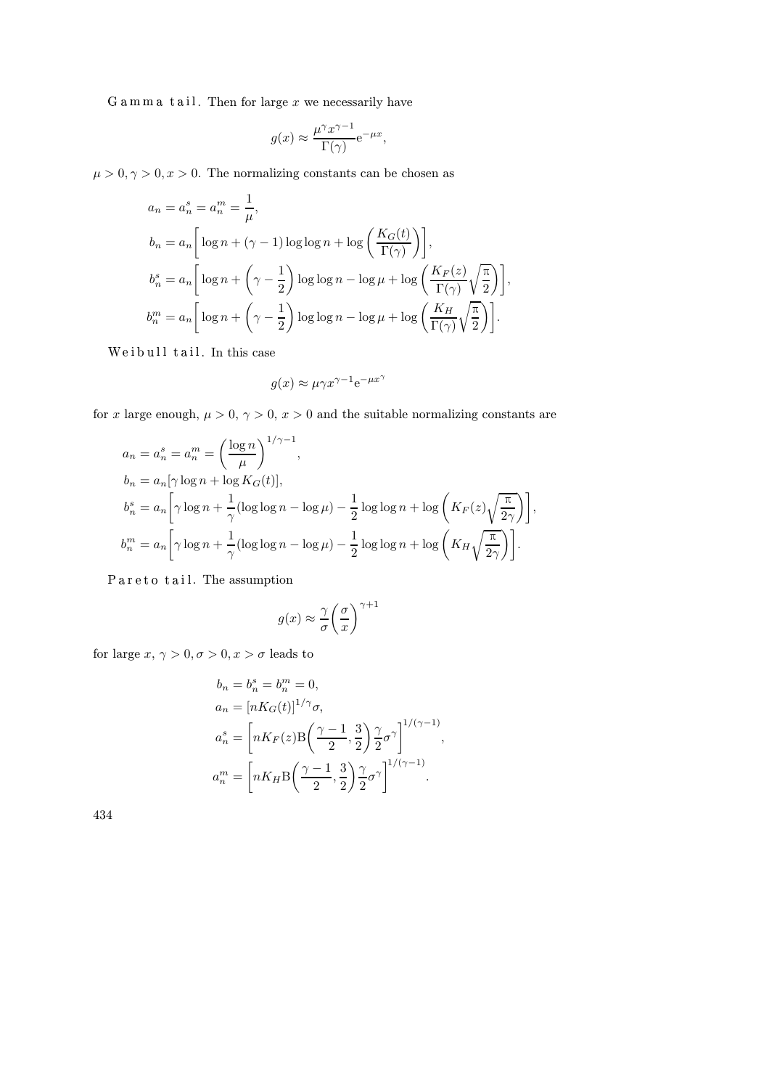$Gam \, m \, a$  tail. Then for large x we necessarily have

$$
g(x) \approx \frac{\mu^{\gamma} x^{\gamma - 1}}{\Gamma(\gamma)} e^{-\mu x},
$$

 $\mu > 0, \gamma > 0, x > 0$ . The normalizing constants can be chosen as

$$
a_n = a_n^s = a_n^m = \frac{1}{\mu},
$$
  
\n
$$
b_n = a_n \left[ \log n + (\gamma - 1) \log \log n + \log \left( \frac{K_G(t)}{\Gamma(\gamma)} \right) \right],
$$
  
\n
$$
b_n^s = a_n \left[ \log n + \left( \gamma - \frac{1}{2} \right) \log \log n - \log \mu + \log \left( \frac{K_F(z)}{\Gamma(\gamma)} \sqrt{\frac{\pi}{2}} \right) \right],
$$
  
\n
$$
b_n^m = a_n \left[ \log n + \left( \gamma - \frac{1}{2} \right) \log \log n - \log \mu + \log \left( \frac{K_H}{\Gamma(\gamma)} \sqrt{\frac{\pi}{2}} \right) \right].
$$

Weibull tail. In this case

$$
g(x)\approx \mu\gamma x^{\gamma-1}{\rm e}^{-\mu x^\gamma}
$$

for x large enough,  $\mu > 0$ ,  $\gamma > 0$ ,  $x > 0$  and the suitable normalizing constants are

$$
a_n = a_n^s = a_n^m = \left(\frac{\log n}{\mu}\right)^{1/\gamma - 1},
$$
  
\n
$$
b_n = a_n [\gamma \log n + \log K_G(t)],
$$
  
\n
$$
b_n^s = a_n \left[\gamma \log n + \frac{1}{\gamma} (\log \log n - \log \mu) - \frac{1}{2} \log \log n + \log \left(K_F(z) \sqrt{\frac{\pi}{2\gamma}}\right)\right],
$$
  
\n
$$
b_n^m = a_n \left[\gamma \log n + \frac{1}{\gamma} (\log \log n - \log \mu) - \frac{1}{2} \log \log n + \log \left(K_H \sqrt{\frac{\pi}{2\gamma}}\right)\right].
$$

Pareto tail. The assumption

$$
g(x) \approx \frac{\gamma}{\sigma} \bigg( \frac{\sigma}{x} \bigg)^{\gamma + 1}
$$

for large  $x, \, \gamma > 0, \sigma > 0, x > \sigma$  leads to

$$
b_n = b_n^s = b_n^m = 0,
$$
  
\n
$$
a_n = [nK_G(t)]^{1/\gamma}\sigma,
$$
  
\n
$$
a_n^s = \left[nK_F(z)B\left(\frac{\gamma - 1}{2}, \frac{3}{2}\right)\frac{\gamma}{2}\sigma^{\gamma}\right]^{1/(\gamma - 1)},
$$
  
\n
$$
a_n^m = \left[nK_HB\left(\frac{\gamma - 1}{2}, \frac{3}{2}\right)\frac{\gamma}{2}\sigma^{\gamma}\right]^{1/(\gamma - 1)}.
$$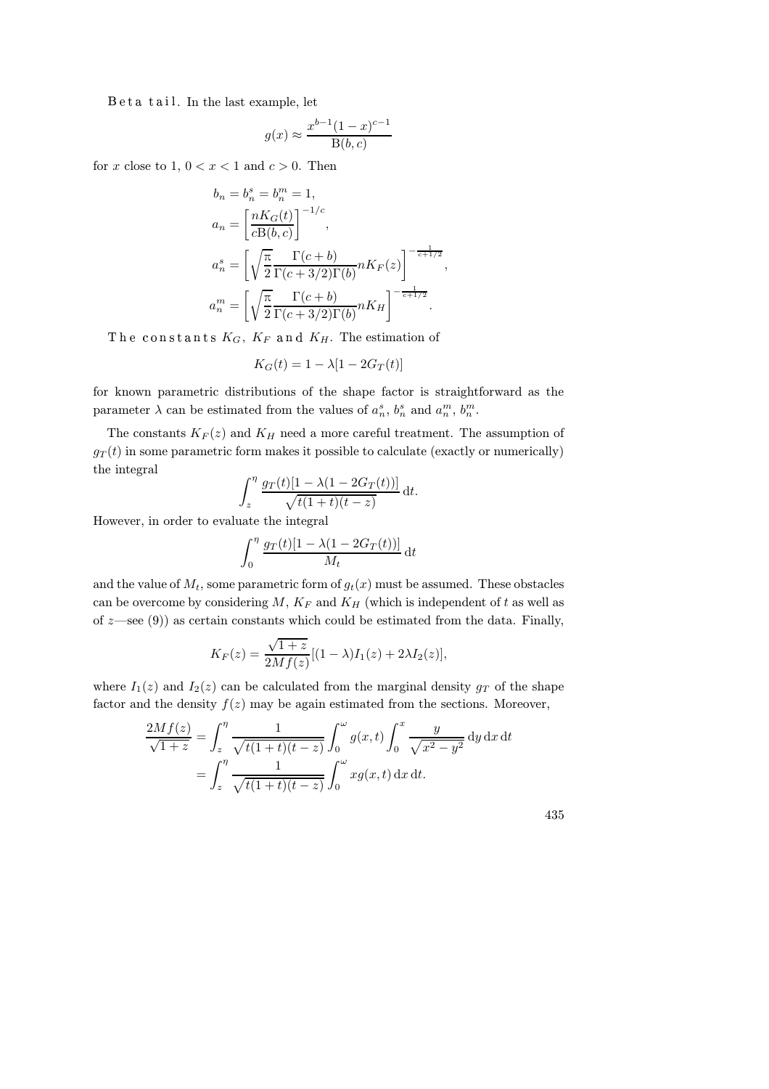$B$  e t a t ail. In the last example, let

$$
g(x) \approx \frac{x^{b-1}(1-x)^{c-1}}{B(b,c)}
$$

for x close to 1,  $0 < x < 1$  and  $c > 0$ . Then

$$
b_n = b_n^s = b_n^m = 1,
$$
  
\n
$$
a_n = \left[\frac{nK_G(t)}{cB(b,c)}\right]^{-1/c},
$$
  
\n
$$
a_n^s = \left[\sqrt{\frac{\pi}{2}} \frac{\Gamma(c+b)}{\Gamma(c+3/2)\Gamma(b)} nK_F(z)\right]^{-\frac{1}{c+1/2}},
$$
  
\n
$$
a_n^m = \left[\sqrt{\frac{\pi}{2}} \frac{\Gamma(c+b)}{\Gamma(c+3/2)\Gamma(b)} nK_H\right]^{-\frac{1}{c+1/2}}.
$$

The constants  $K_G, K_F$  and  $K_H$ . The estimation of

$$
K_G(t) = 1 - \lambda [1 - 2G_T(t)]
$$

for known parametric distributions of the shape factor is straightforward as the parameter  $\lambda$  can be estimated from the values of  $a_n^s$ ,  $b_n^s$  and  $a_n^m$ ,  $b_n^m$ .

The constants  $K_F(z)$  and  $K_H$  need a more careful treatment. The assumption of  $g_T(t)$  in some parametric form makes it possible to calculate (exactly or numerically) the integral

$$
\int_{z}^{\eta} \frac{g_T(t)[1 - \lambda(1 - 2G_T(t))] }{\sqrt{t(1+t)(t-z)}} dt.
$$

However, in order to evaluate the integral

$$
\int_0^\eta \frac{g_T(t)[1-\lambda(1-2G_T(t))]}{M_t} \,\mathrm{d}t
$$

and the value of  $M_t$ , some parametric form of  $g_t(x)$  must be assumed. These obstacles can be overcome by considering  $M$ ,  $K_F$  and  $K_H$  (which is independent of t as well as of  $z$ —see (9)) as certain constants which could be estimated from the data. Finally,

$$
K_F(z) = \frac{\sqrt{1+z}}{2Mf(z)}[(1-\lambda)I_1(z) + 2\lambda I_2(z)],
$$

where  $I_1(z)$  and  $I_2(z)$  can be calculated from the marginal density  $g_T$  of the shape factor and the density  $f(z)$  may be again estimated from the sections. Moreover,

$$
\frac{2Mf(z)}{\sqrt{1+z}} = \int_z^{\eta} \frac{1}{\sqrt{t(1+t)(t-z)}} \int_0^{\omega} g(x,t) \int_0^x \frac{y}{\sqrt{x^2 - y^2}} dy dx dt
$$
  
= 
$$
\int_z^{\eta} \frac{1}{\sqrt{t(1+t)(t-z)}} \int_0^{\omega} x g(x,t) dx dt.
$$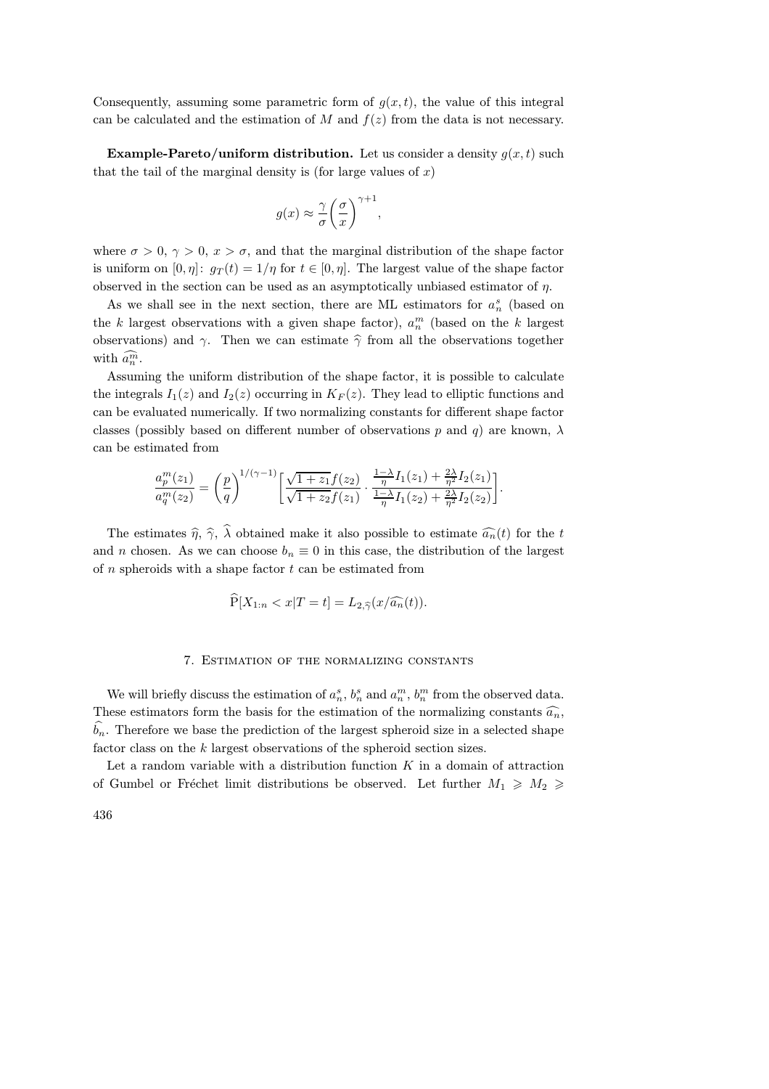Consequently, assuming some parametric form of  $q(x,t)$ , the value of this integral can be calculated and the estimation of  $M$  and  $f(z)$  from the data is not necessary.

**Example-Pareto/uniform distribution.** Let us consider a density  $g(x,t)$  such that the tail of the marginal density is (for large values of  $x$ )

$$
g(x) \approx \frac{\gamma}{\sigma} \bigg( \frac{\sigma}{x} \bigg)^{\gamma + 1}
$$

,

where  $\sigma > 0$ ,  $\gamma > 0$ ,  $x > \sigma$ , and that the marginal distribution of the shape factor is uniform on  $[0, \eta]$ :  $g_T(t) = 1/\eta$  for  $t \in [0, \eta]$ . The largest value of the shape factor observed in the section can be used as an asymptotically unbiased estimator of  $\eta$ .

As we shall see in the next section, there are ML estimators for  $a_n^s$  (based on the k largest observations with a given shape factor),  $a_n^m$  (based on the k largest observations) and  $\gamma$ . Then we can estimate  $\hat{\gamma}$  from all the observations together with  $\widehat{a_n^m}$ .

Assuming the uniform distribution of the shape factor, it is possible to calculate the integrals  $I_1(z)$  and  $I_2(z)$  occurring in  $K_F(z)$ . They lead to elliptic functions and can be evaluated numerically. If two normalizing constants for different shape factor classes (possibly based on different number of observations p and q) are known,  $\lambda$ can be estimated from

$$
\frac{a_p^m(z_1)}{a_q^m(z_2)} = \left(\frac{p}{q}\right)^{1/(\gamma-1)} \left[\frac{\sqrt{1+z_1}f(z_2)}{\sqrt{1+z_2}f(z_1)} \cdot \frac{\frac{1-\lambda}{\eta}I_1(z_1) + \frac{2\lambda}{\eta^2}I_2(z_1)}{\frac{1-\lambda}{\eta}I_1(z_2) + \frac{2\lambda}{\eta^2}I_2(z_2)}\right].
$$

The estimates  $\hat{\eta}, \hat{\gamma}, \hat{\lambda}$  obtained make it also possible to estimate  $\hat{a}_n(t)$  for the t and *n* chosen. As we can choose  $b_n \equiv 0$  in this case, the distribution of the largest of  $n$  spheroids with a shape factor  $t$  can be estimated from

$$
\widehat{P}[X_{1:n} < x | T = t] = L_{2,\widehat{\gamma}}(x/\widehat{a_n}(t)).
$$

## 7. Estimation of the normalizing constants

We will briefly discuss the estimation of  $a_n^s$ ,  $b_n^s$  and  $a_n^m$ ,  $b_n^m$  from the observed data. These estimators form the basis for the estimation of the normalizing constants  $\widehat{a_n}$ ,  $\hat{b}_n$ . Therefore we base the prediction of the largest spheroid size in a selected shape factor class on the k largest observations of the spheroid section sizes.

Let a random variable with a distribution function  $K$  in a domain of attraction of Gumbel or Fréchet limit distributions be observed. Let further  $M_1 \geqslant M_2 \geqslant$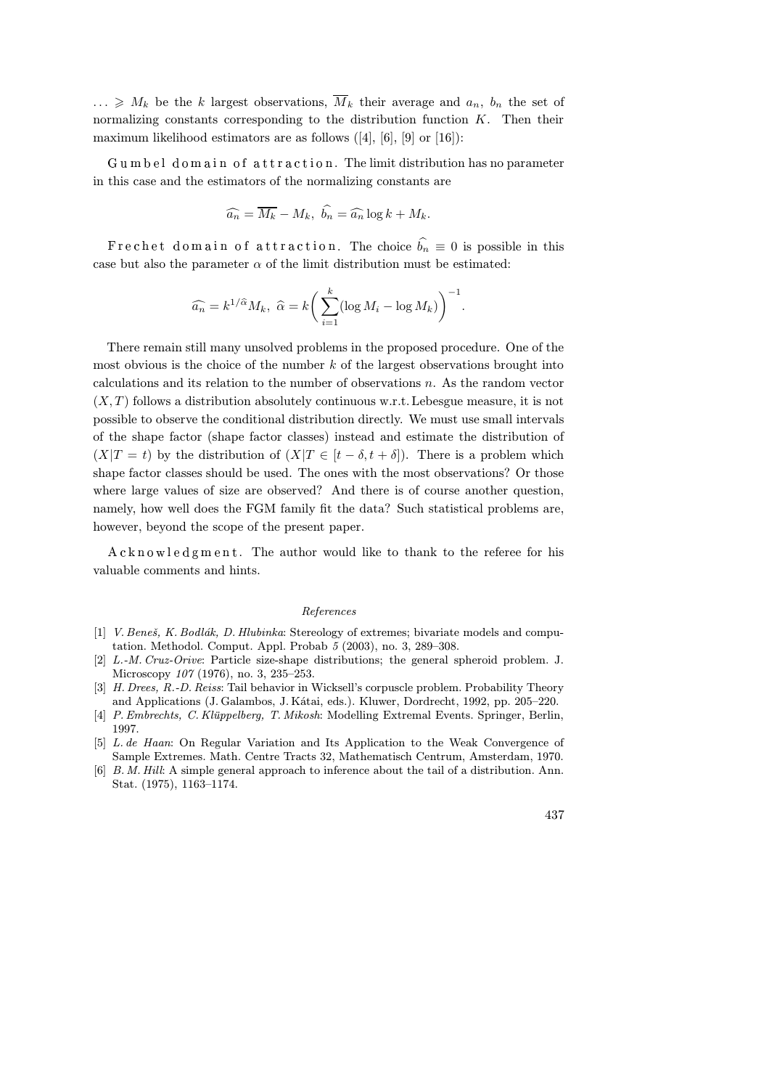$\ldots \geqslant M_k$  be the k largest observations,  $\overline{M}_k$  their average and  $a_n$ ,  $b_n$  the set of normalizing constants corresponding to the distribution function K. Then their maximum likelihood estimators are as follows ([4], [6], [9] or [16]):

Gumbel domain of attraction. The limit distribution has no parameter in this case and the estimators of the normalizing constants are

$$
\widehat{a_n} = \overline{M_k} - M_k, \ \widehat{b_n} = \widehat{a_n} \log k + M_k.
$$

Frechet domain of attraction. The choice  $\hat{b}_n \equiv 0$  is possible in this case but also the parameter  $\alpha$  of the limit distribution must be estimated:

$$
\widehat{a_n} = k^{1/\widehat{\alpha}} M_k, \ \widehat{\alpha} = k \bigg( \sum_{i=1}^k (\log M_i - \log M_k) \bigg)^{-1}.
$$

There remain still many unsolved problems in the proposed procedure. One of the most obvious is the choice of the number  $k$  of the largest observations brought into calculations and its relation to the number of observations  $n$ . As the random vector  $(X, T)$  follows a distribution absolutely continuous w.r.t. Lebesgue measure, it is not possible to observe the conditional distribution directly. We must use small intervals of the shape factor (shape factor classes) instead and estimate the distribution of  $(X|T = t)$  by the distribution of  $(X|T \in [t - \delta, t + \delta])$ . There is a problem which shape factor classes should be used. The ones with the most observations? Or those where large values of size are observed? And there is of course another question, namely, how well does the FGM family fit the data? Such statistical problems are, however, beyond the scope of the present paper.

 $\texttt{A} \texttt{c} \texttt{k} \texttt{n} \texttt{o} \texttt{w} \texttt{l} \texttt{e} \texttt{d} \texttt{g} \texttt{m} \texttt{e} \texttt{n} \texttt{t}$  . The author would like to thank to the referee for his valuable comments and hints.

### References

- [1] V. Beneš, K. Bodlák, D. Hlubinka: Stereology of extremes; bivariate models and computation. Methodol. Comput. Appl. Probab 5 (2003), no. 3, 289–308.
- [2] L.-M. Cruz-Orive: Particle size-shape distributions; the general spheroid problem. J. Microscopy 107 (1976), no. 3, 235–253.
- [3] H. Drees, R.-D. Reiss: Tail behavior in Wicksell's corpuscle problem. Probability Theory and Applications (J. Galambos, J. Kátai, eds.). Kluwer, Dordrecht, 1992, pp. 205–220.
- [4] P.Embrechts, C. Klüppelberg, T. Mikosh: Modelling Extremal Events. Springer, Berlin, 1997.
- [5] L. de Haan: On Regular Variation and Its Application to the Weak Convergence of Sample Extremes. Math. Centre Tracts 32, Mathematisch Centrum, Amsterdam, 1970.
- [6] B. M. Hill: A simple general approach to inference about the tail of a distribution. Ann. Stat. (1975), 1163–1174.